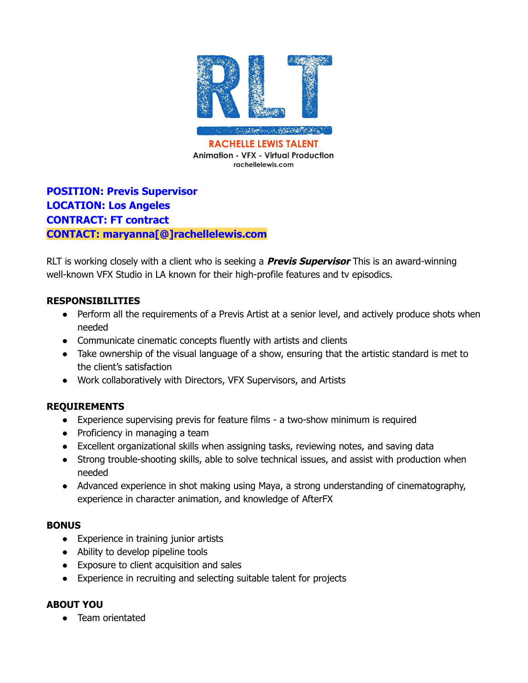

# **POSITION: Previs Supervisor LOCATION: Los Angeles CONTRACT: FT contract CONTACT: maryanna[@]rachellelewis.com**

RLT is working closely with a client who is seeking a **Previs Supervisor** This is an award-winning well-known VFX Studio in LA known for their high-profile features and tv episodics.

### **RESPONSIBILITIES**

- Perform all the requirements of a Previs Artist at a senior level, and actively produce shots when needed
- Communicate cinematic concepts fluently with artists and clients
- Take ownership of the visual language of a show, ensuring that the artistic standard is met to the client's satisfaction
- Work collaboratively with Directors, VFX Supervisors, and Artists

#### **REQUIREMENTS**

- Experience supervising previs for feature films a two-show minimum is required
- Proficiency in managing a team
- Excellent organizational skills when assigning tasks, reviewing notes, and saving data
- Strong trouble-shooting skills, able to solve technical issues, and assist with production when needed
- Advanced experience in shot making using Maya, a strong understanding of cinematography, experience in character animation, and knowledge of AfterFX

#### **BONUS**

- Experience in training junior artists
- Ability to develop pipeline tools
- Exposure to client acquisition and sales
- Experience in recruiting and selecting suitable talent for projects

## **ABOUT YOU**

● Team orientated